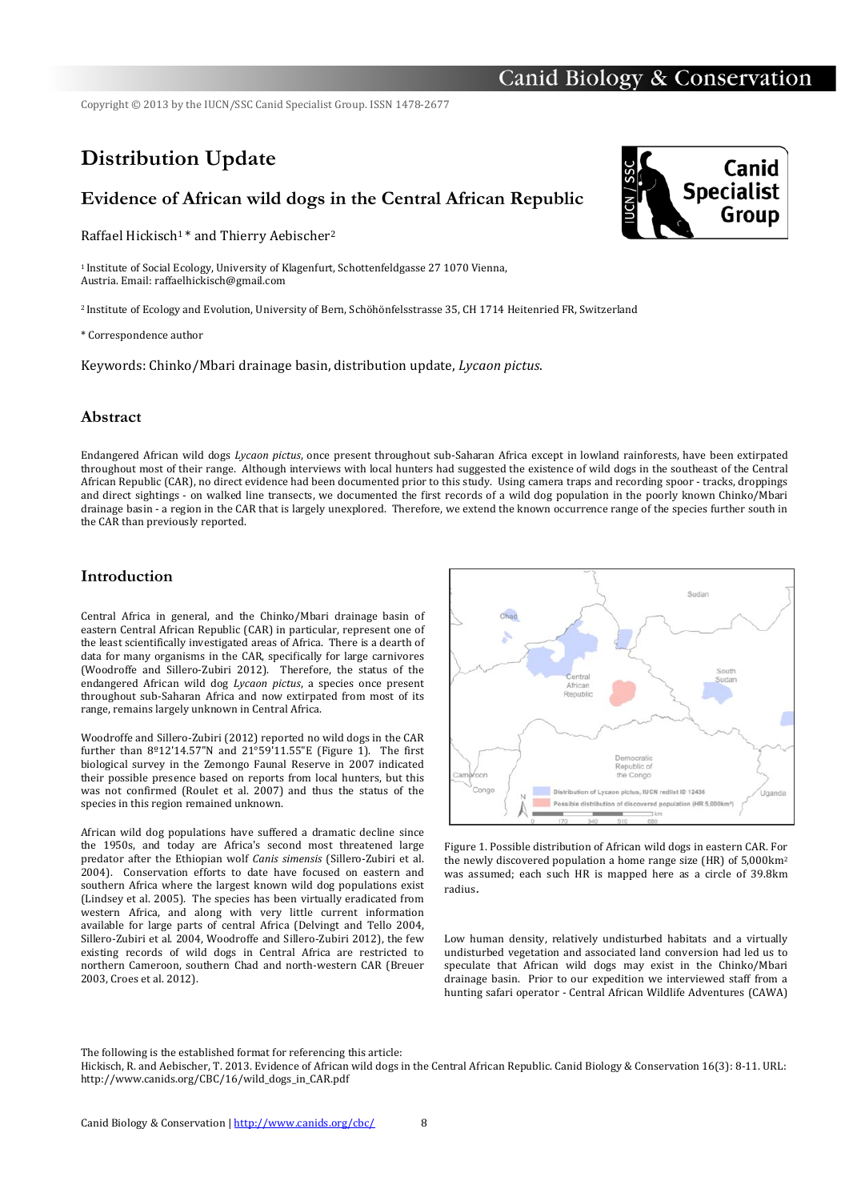## Canid Biology & Conservation

Copyright © 2013 by the IUCN/SSC Canid Specialist Group. ISSN 1478-2677

# **Distribution Update**

### **Evidence of African wild dogs in the Central African Republic**

Raffael Hickisch<sup>1</sup>\* and Thierry Aebischer<sup>2</sup>

<sup>1</sup> Institute of Social Ecology, University of Klagenfurt, Schottenfeldgasse 27 1070 Vienna, Austria. Email: raffaelhickisch@gmail.com

<sup>2</sup> Institute of Ecology and Evolution, University of Bern, Schöhönfelsstrasse 35, CH 1714 Heitenried FR, Switzerland

\* Correspondence author

Keywords: Chinko/Mbari drainage basin, distribution update, *Lycaon pictus*.

#### **Abstract**

Endangered African wild dogs *Lycaon pictus*, once present throughout sub-Saharan Africa except in lowland rainforests, have been extirpated throughout most of their range. Although interviews with local hunters had suggested the existence of wild dogs in the southeast of the Central African Republic (CAR), no direct evidence had been documented prior to this study. Using camera traps and recording spoor - tracks, droppings and direct sightings - on walked line transects, we documented the first records of a wild dog population in the poorly known Chinko/Mbari drainage basin - a region in the CAR that is largely unexplored. Therefore, we extend the known occurrence range of the species further south in the CAR than previously reported.

#### **Introduction**

Central Africa in general, and the Chinko/Mbari drainage basin of eastern Central African Republic (CAR) in particular, represent one of the least scientifically investigated areas of Africa. There is a dearth of data for many organisms in the CAR, specifically for large carnivores (Woodroffe and Sillero-Zubiri 2012). Therefore, the status of the endangered African wild dog *Lycaon pictus*, a species once present throughout sub-Saharan Africa and now extirpated from most of its range, remains largely unknown in Central Africa.

Woodroffe and Sillero-Zubiri (2012) reported no wild dogs in the CAR further than  $8^{\circ}12'14.57''N$  and  $21^{\circ}59'11.55''E$  (Figure 1). The first biological survey in the Zemongo Faunal Reserve in 2007 indicated their possible presence based on reports from local hunters, but this was not confirmed (Roulet et al. 2007) and thus the status of the species in this region remained unknown.

African wild dog populations have suffered a dramatic decline since the  $1950s$ , and today are Africa's second most threatened large predator after the Ethiopian wolf *Canis simensis* (Sillero-Zubiri et al. 2004). Conservation efforts to date have focused on eastern and southern Africa where the largest known wild dog populations exist (Lindsey et al. 2005). The species has been virtually eradicated from western Africa, and along with very little current information available for large parts of central Africa (Delvingt and Tello 2004, Sillero-Zubiri et al. 2004, Woodroffe and Sillero-Zubiri 2012), the few existing records of wild dogs in Central Africa are restricted to northern Cameroon, southern Chad and north-western CAR (Breuer 2003, Croes et al. 2012).



Figure 1. Possible distribution of African wild dogs in eastern CAR. For the newly discovered population a home range size (HR) of  $5,000 \text{km}^2$ was assumed; each such HR is mapped here as a circle of 39.8km radius.

Low human density, relatively undisturbed habitats and a virtually undisturbed vegetation and associated land conversion had led us to speculate that  $A$ frican wild dogs may exist in the Chinko/Mbari drainage basin. Prior to our expedition we interviewed staff from a hunting safari operator - Central African Wildlife Adventures (CAWA)

The following is the established format for referencing this article:

Hickisch, R. and Aebischer, T. 2013. Evidence of African wild dogs in the Central African Republic. Canid Biology & Conservation 16(3): 8-11. URL: http://www.canids.org/CBC/16/wild\_dogs\_in\_CAR.pdf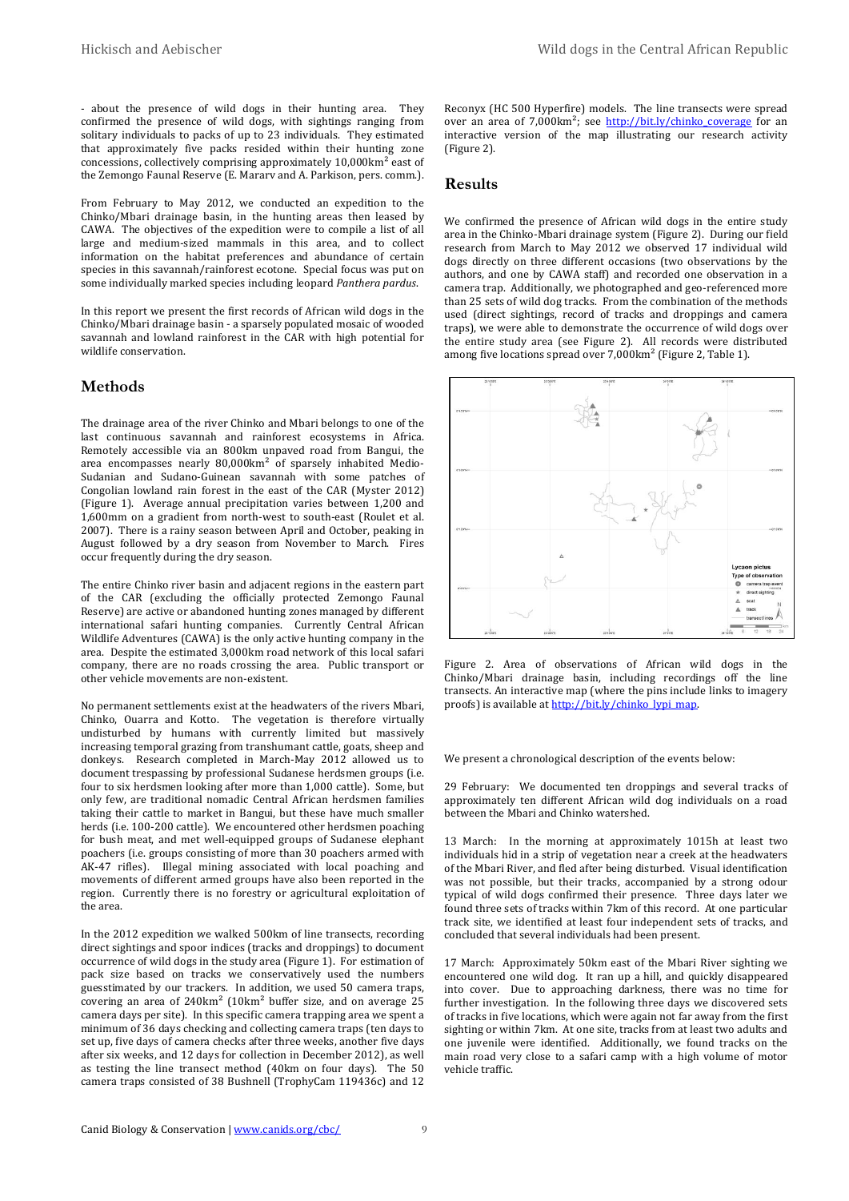$-$  about the presence of wild dogs in their hunting area. They confirmed the presence of wild dogs, with sightings ranging from solitary individuals to packs of up to 23 individuals. They estimated that approximately five packs resided within their hunting zone concessions, collectively comprising approximately  $10,000 \text{km}^2$  east of the Zemongo Faunal Reserve (E. Mararv and A. Parkison, pers. comm.).

From February to May 2012, we conducted an expedition to the  $Chinko/Mbari$  drainage basin, in the hunting areas then leased by CAWA. The objectives of the expedition were to compile a list of all large and medium-sized mammals in this area, and to collect information on the habitat preferences and abundance of certain species in this savannah/rainforest ecotone. Special focus was put on some individually marked species including leopard Panthera pardus.

In this report we present the first records of African wild dogs in the Chinko/Mbari drainage basin - a sparsely populated mosaic of wooded savannah and lowland rainforest in the CAR with high potential for wildlife conservation.

#### **Methods**

The drainage area of the river Chinko and Mbari belongs to one of the last continuous savannah and rainforest ecosystems in Africa. Remotely accessible via an 800km unpaved road from Bangui, the area encompasses nearly  $80,000 \text{ km}^2$  of sparsely inhabited Medio-Sudanian and Sudano-Guinean savannah with some patches of Congolian lowland rain forest in the east of the CAR (Myster 2012) (Figure 1). Average annual precipitation varies between 1,200 and  $1,600$ mm on a gradient from north-west to south-east (Roulet et al. 2007). There is a rainy season between April and October, peaking in August followed by a dry season from November to March. Fires occur frequently during the dry season.

The entire Chinko river basin and adjacent regions in the eastern part of the CAR (excluding the officially protected Zemongo Faunal Reserve) are active or abandoned hunting zones managed by different international safari hunting companies. Currently Central African Wildlife Adventures  $(CAWA)$  is the only active hunting company in the area. Despite the estimated 3,000km road network of this local safari company, there are no roads crossing the area. Public transport or other vehicle movements are non-existent.

No permanent settlements exist at the headwaters of the rivers Mbari, Chinko, Ouarra and Kotto. The vegetation is therefore virtually undisturbed by humans with currently limited but massively increasing temporal grazing from transhumant cattle, goats, sheep and donkeys. Research completed in March-May 2012 allowed us to document trespassing by professional Sudanese herdsmen groups (i.e. four to six herdsmen looking after more than 1,000 cattle). Some, but only few, are traditional nomadic Central African herdsmen families taking their cattle to market in Bangui, but these have much smaller herds (i.e. 100-200 cattle). We encountered other herdsmen poaching for bush meat, and met well-equipped groups of Sudanese elephant poachers (i.e. groups consisting of more than 30 poachers armed with AK-47 rifles). Illegal mining associated with local poaching and movements of different armed groups have also been reported in the region. Currently there is no forestry or agricultural exploitation of the area.

In the 2012 expedition we walked 500km of line transects, recording direct sightings and spoor indices (tracks and droppings) to document occurrence of wild dogs in the study area (Figure 1). For estimation of pack size based on tracks we conservatively used the numbers guesstimated by our trackers. In addition, we used 50 camera traps, covering an area of  $240 \text{km}^2$  (10km<sup>2</sup> buffer size, and on average 25 camera days per site). In this specific camera trapping area we spent a minimum of 36 days checking and collecting camera traps (ten days to set up, five days of camera checks after three weeks, another five days after six weeks, and 12 days for collection in December 2012), as well as testing the line transect method (40km on four days). The  $50$ camera traps consisted of 38 Bushnell (TrophyCam 119436c) and 12

Reconyx (HC 500 Hyperfire) models. The line transects were spread over an area of  $7,000 \text{km}^2$ ; see http://bit.ly/chinko\_coverage for an interactive version of the map illustrating our research activity (Figure 2).

#### **Results**

We confirmed the presence of African wild dogs in the entire study area in the Chinko-Mbari drainage system (Figure 2). During our field research from March to May  $2012$  we observed 17 individual wild dogs directly on three different occasions (two observations by the authors, and one by CAWA staff) and recorded one observation in a camera trap. Additionally, we photographed and geo-referenced more than 25 sets of wild dog tracks. From the combination of the methods used (direct sightings, record of tracks and droppings and camera traps), we were able to demonstrate the occurrence of wild dogs over the entire study area (see Figure 2). All records were distributed among five locations spread over 7,000km<sup>2</sup> (Figure 2, Table 1).



Figure 2. Area of observations of African wild dogs in the  $Chinko/Mbari$  drainage basin, including recordings off the line transects. An interactive map (where the pins include links to imagery proofs) is available at http://bit.ly/chinko\_lypi\_map.

We present a chronological description of the events below:

29 February: We documented ten droppings and several tracks of approximately ten different African wild dog individuals on a road between the Mbari and Chinko watershed.

13 March: In the morning at approximately 1015h at least two individuals hid in a strip of vegetation near a creek at the headwaters of the Mbari River, and fled after being disturbed. Visual identification was not possible, but their tracks, accompanied by a strong odour typical of wild dogs confirmed their presence. Three days later we found three sets of tracks within 7km of this record. At one particular track site, we identified at least four independent sets of tracks, and concluded that several individuals had been present.

17 March: Approximately 50km east of the Mbari River sighting we encountered one wild dog. It ran up a hill, and quickly disappeared into cover. Due to approaching darkness, there was no time for further investigation. In the following three days we discovered sets of tracks in five locations, which were again not far away from the first sighting or within 7km. At one site, tracks from at least two adults and one juvenile were identified. Additionally, we found tracks on the main road very close to a safari camp with a high volume of motor vehicle traffic.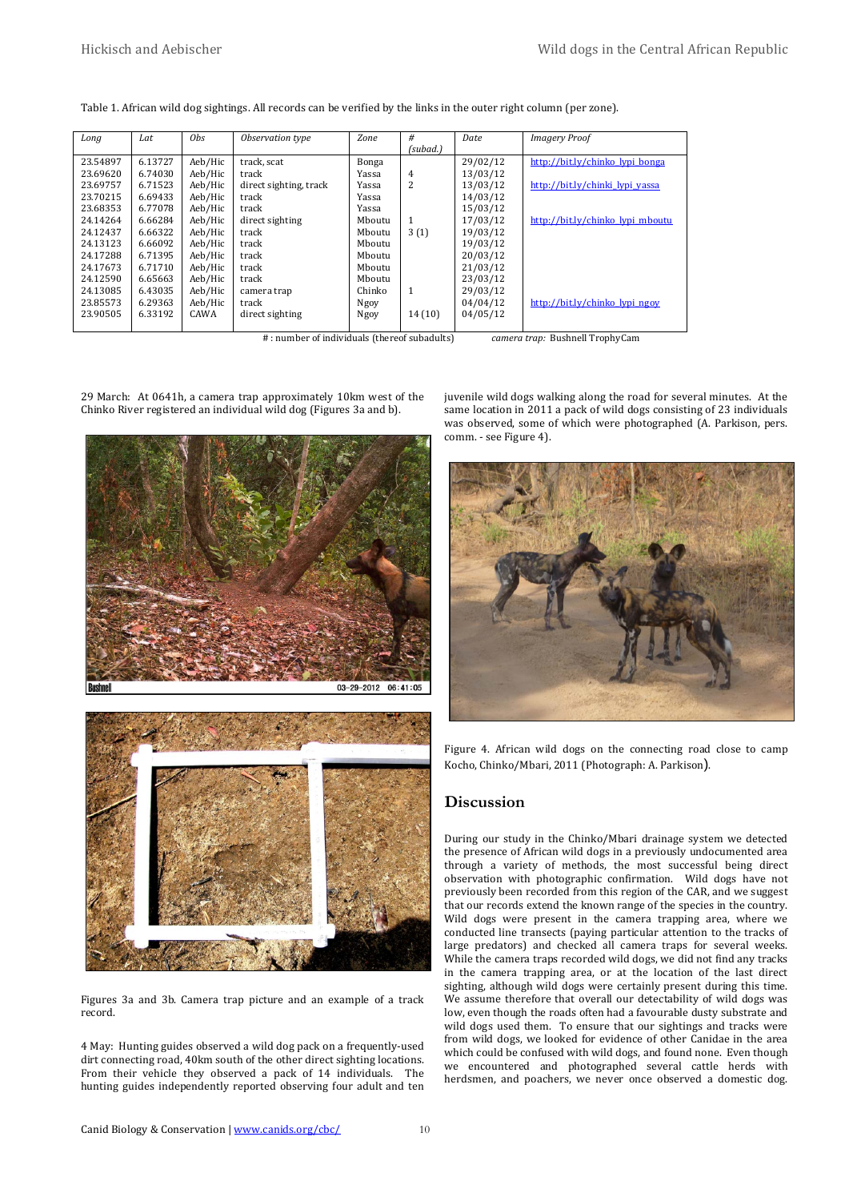| Table 1. African wild dog sightings. All records can be verified by the links in the outer right column (per zone). |  |  |  |  |
|---------------------------------------------------------------------------------------------------------------------|--|--|--|--|
|---------------------------------------------------------------------------------------------------------------------|--|--|--|--|

| Long     | Lat     | Obs.    | Observation type       | Zone   | #            | Date     | <b>Imagery Proof</b>             |
|----------|---------|---------|------------------------|--------|--------------|----------|----------------------------------|
|          |         |         |                        |        | (subad.)     |          |                                  |
| 23.54897 | 6.13727 | Aeb/Hic | track. scat            | Bonga  |              | 29/02/12 | http://bit.ly/chinko lypi bonga  |
| 23.69620 | 6.74030 | Aeb/Hic | track                  | Yassa  | 4            | 13/03/12 |                                  |
| 23.69757 | 6.71523 | Aeb/Hic | direct sighting, track | Yassa  | 2            | 13/03/12 | http://bit.ly/chinki lypi yassa  |
| 23.70215 | 6.69433 | Aeb/Hic | track                  | Yassa  |              | 14/03/12 |                                  |
| 23.68353 | 6.77078 | Aeb/Hic | track                  | Yassa  |              | 15/03/12 |                                  |
| 24.14264 | 6.66284 | Aeb/Hic | direct sighting        | Mboutu | 1            | 17/03/12 | http://bit.ly/chinko lypi mboutu |
| 24.12437 | 6.66322 | Aeb/Hic | track                  | Mboutu | 3(1)         | 19/03/12 |                                  |
| 24.13123 | 6.66092 | Aeb/Hic | track                  | Mboutu |              | 19/03/12 |                                  |
| 24.17288 | 6.71395 | Aeb/Hic | track                  | Mhoutu |              | 20/03/12 |                                  |
| 24.17673 | 6.71710 | Aeb/Hic | track                  | Mhoutu |              | 21/03/12 |                                  |
| 24.12590 | 6.65663 | Aeb/Hic | track                  | Mhoutu |              | 23/03/12 |                                  |
| 24.13085 | 6.43035 | Aeb/Hic | camera trap            | Chinko | $\mathbf{1}$ | 29/03/12 |                                  |
| 23.85573 | 6.29363 | Aeb/Hic | track                  | Ngoy   |              | 04/04/12 | http://bit.ly/chinko lypi ngoy   |
| 23.90505 | 6.33192 | CAWA    | direct sighting        | Ngoy   | 14(10)       | 04/05/12 |                                  |
|          |         |         |                        |        |              |          |                                  |

#: number of individuals (thereof subadults) *camera trap:* Bushnell TrophyCam

29 March: At 0641h, a camera trap approximately 10km west of the Chinko River registered an individual wild dog (Figures 3a and b).



Figures 3a and 3b. Camera trap picture and an example of a track record.

4 May: Hunting guides observed a wild dog pack on a frequently-used dirt connecting road, 40km south of the other direct sighting locations. From their vehicle they observed a pack of 14 individuals. The hunting guides independently reported observing four adult and ten juvenile wild dogs walking along the road for several minutes. At the same location in 2011 a pack of wild dogs consisting of 23 individuals was observed, some of which were photographed (A. Parkison, pers. comm. - see Figure 4).



Figure 4. African wild dogs on the connecting road close to camp Kocho, Chinko/Mbari, 2011 (Photograph: A. Parkison).

#### **Discussion**

During our study in the Chinko/Mbari drainage system we detected the presence of African wild dogs in a previously undocumented area through a variety of methods, the most successful being direct observation with photographic confirmation. Wild dogs have not previously been recorded from this region of the CAR, and we suggest that our records extend the known range of the species in the country. Wild dogs were present in the camera trapping area, where we conducted line transects (paying particular attention to the tracks of large predators) and checked all camera traps for several weeks. While the camera traps recorded wild dogs, we did not find any tracks in the camera trapping area, or at the location of the last direct sighting, although wild dogs were certainly present during this time. We assume therefore that overall our detectability of wild dogs was low, even though the roads often had a favourable dusty substrate and wild dogs used them. To ensure that our sightings and tracks were from wild dogs, we looked for evidence of other Canidae in the area which could be confused with wild dogs, and found none. Even though we encountered and photographed several cattle herds with herdsmen, and poachers, we never once observed a domestic dog.